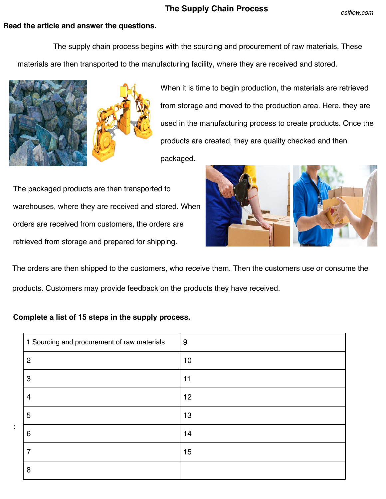## **The Supply Chain Process**

## **Read the article and answer the questions.**

 The supply chain process begins with the sourcing and procurement of raw materials. These materials are then transported to the manufacturing facility, where they are received and stored.



**:**



When it is time to begin production, the materials are retrieved from storage and moved to the production area. Here, they are used in the manufacturing process to create products. Once the products are created, they are quality checked and then packaged.

The packaged products are then transported to warehouses, where they are received and stored. When orders are received from customers, the orders are retrieved from storage and prepared for shipping.



The orders are then shipped to the customers, who receive them. Then the customers use or consume the products. Customers may provide feedback on the products they have received.

## **Complete a list of 15 steps in the supply process.**

| 1 Sourcing and procurement of raw materials | 9  |
|---------------------------------------------|----|
| $\overline{2}$                              | 10 |
| 3                                           | 11 |
| 4                                           | 12 |
| 5                                           | 13 |
| 6                                           | 14 |
| 7                                           | 15 |
| 8                                           |    |